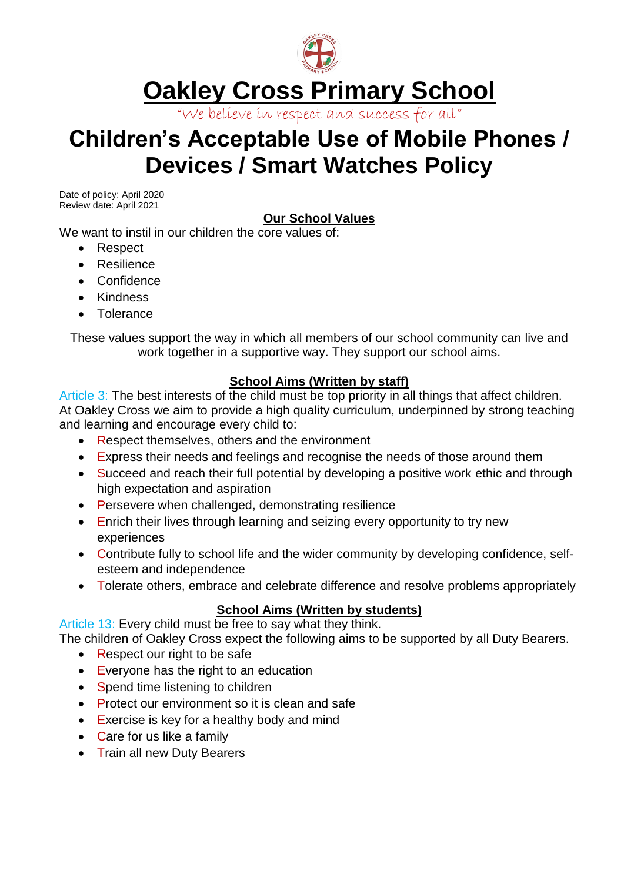

# **Oakley Cross Primary School**

"We believe in respect and success for all"

## **Children's Acceptable Use of Mobile Phones / Devices / Smart Watches Policy**

Date of policy: April 2020 Review date: April 2021

### **Our School Values**

We want to instil in our children the core values of:

- Respect
- Resilience
- Confidence
- Kindness
- Tolerance

These values support the way in which all members of our school community can live and work together in a supportive way. They support our school aims.

#### **School Aims (Written by staff)**

Article 3: The best interests of the child must be top priority in all things that affect children. At Oakley Cross we aim to provide a high quality curriculum, underpinned by strong teaching and learning and encourage every child to:

- Respect themselves, others and the environment
- Express their needs and feelings and recognise the needs of those around them
- Succeed and reach their full potential by developing a positive work ethic and through high expectation and aspiration
- Persevere when challenged, demonstrating resilience
- Enrich their lives through learning and seizing every opportunity to try new experiences
- Contribute fully to school life and the wider community by developing confidence, selfesteem and independence
- Tolerate others, embrace and celebrate difference and resolve problems appropriately

#### **School Aims (Written by students)**

Article 13: Every child must be free to say what they think.

The children of Oakley Cross expect the following aims to be supported by all Duty Bearers.

- Respect our right to be safe
- Everyone has the right to an education
- Spend time listening to children
- Protect our environment so it is clean and safe
- Exercise is key for a healthy body and mind
- Care for us like a family
- Train all new Duty Bearers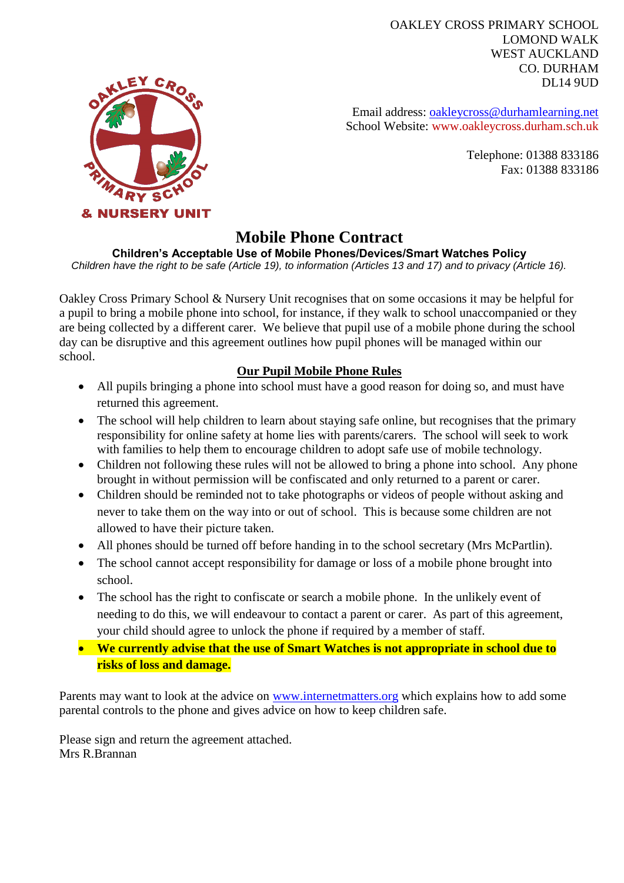OAKLEY CROSS PRIMARY SCHOOL LOMOND WALK WEST AUCKLAND CO. DURHAM DL14 9UD



Email address: [oakleycross@durhamlearning.net](mailto:oakleycross@durhamlearning.net) School Website: www.oakleycross.durham.sch.uk

> Telephone: 01388 833186 Fax: 01388 833186

### **Mobile Phone Contract**

#### **Children's Acceptable Use of Mobile Phones/Devices/Smart Watches Policy**

*Children have the right to be safe (Article 19), to information (Articles 13 and 17) and to privacy (Article 16).*

Oakley Cross Primary School & Nursery Unit recognises that on some occasions it may be helpful for a pupil to bring a mobile phone into school, for instance, if they walk to school unaccompanied or they are being collected by a different carer. We believe that pupil use of a mobile phone during the school day can be disruptive and this agreement outlines how pupil phones will be managed within our school.

#### **Our Pupil Mobile Phone Rules**

- All pupils bringing a phone into school must have a good reason for doing so, and must have returned this agreement.
- The school will help children to learn about staying safe online, but recognises that the primary responsibility for online safety at home lies with parents/carers. The school will seek to work with families to help them to encourage children to adopt safe use of mobile technology.
- Children not following these rules will not be allowed to bring a phone into school. Any phone brought in without permission will be confiscated and only returned to a parent or carer.
- Children should be reminded not to take photographs or videos of people without asking and never to take them on the way into or out of school. This is because some children are not allowed to have their picture taken.
- All phones should be turned off before handing in to the school secretary (Mrs McPartlin).
- The school cannot accept responsibility for damage or loss of a mobile phone brought into school.
- The school has the right to confiscate or search a mobile phone. In the unlikely event of needing to do this, we will endeavour to contact a parent or carer. As part of this agreement, your child should agree to unlock the phone if required by a member of staff.
- **We currently advise that the use of Smart Watches is not appropriate in school due to risks of loss and damage.**

Parents may want to look at the advice on [www.internetmatters.org](http://www.internetmatters.org/) which explains how to add some parental controls to the phone and gives advice on how to keep children safe.

Please sign and return the agreement attached. Mrs R.Brannan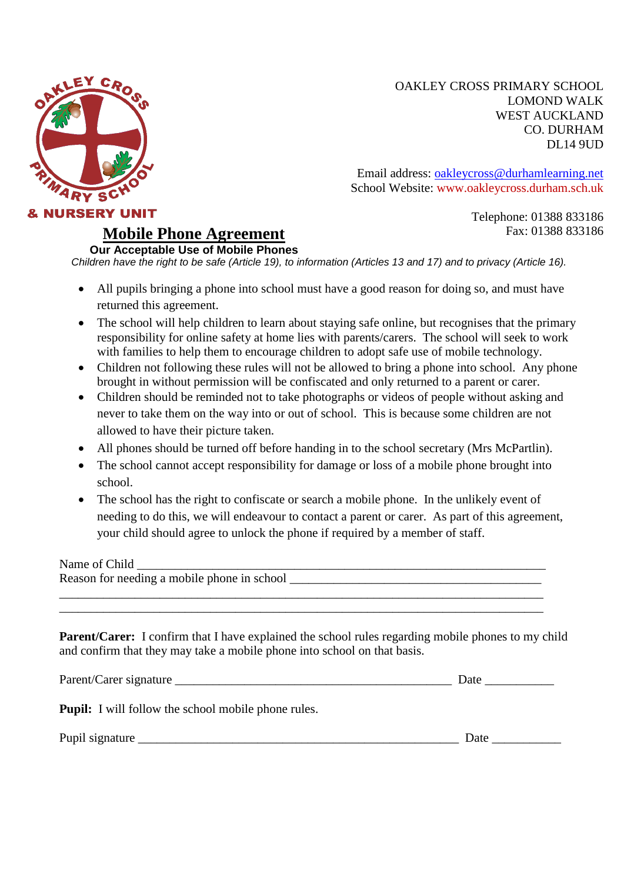

OAKLEY CROSS PRIMARY SCHOOL LOMOND WALK WEST AUCKLAND CO. DURHAM DL14 9UD

Email address: [oakleycross@durhamlearning.net](mailto:oakleycross@durhamlearning.net) School Website: www.oakleycross.durham.sch.uk

> Telephone: 01388 833186 Fax: 01388 833186

**Our Acceptable Use of Mobile Phones** Children have the right to be safe (Article 19), to information (Articles 13 and 17) and to privacy (Article 16).

- All pupils bringing a phone into school must have a good reason for doing so, and must have returned this agreement.
- The school will help children to learn about staying safe online, but recognises that the primary responsibility for online safety at home lies with parents/carers. The school will seek to work with families to help them to encourage children to adopt safe use of mobile technology.
- Children not following these rules will not be allowed to bring a phone into school. Any phone brought in without permission will be confiscated and only returned to a parent or carer.
- Children should be reminded not to take photographs or videos of people without asking and never to take them on the way into or out of school. This is because some children are not allowed to have their picture taken.
- All phones should be turned off before handing in to the school secretary (Mrs McPartlin).
- The school cannot accept responsibility for damage or loss of a mobile phone brought into school.
- The school has the right to confiscate or search a mobile phone. In the unlikely event of needing to do this, we will endeavour to contact a parent or carer. As part of this agreement, your child should agree to unlock the phone if required by a member of staff.

Name of Child

Reason for needing a mobile phone in school  $\Box$ 

**Mobile Phone Agreement**

**Parent/Carer:** I confirm that I have explained the school rules regarding mobile phones to my child and confirm that they may take a mobile phone into school on that basis.

\_\_\_\_\_\_\_\_\_\_\_\_\_\_\_\_\_\_\_\_\_\_\_\_\_\_\_\_\_\_\_\_\_\_\_\_\_\_\_\_\_\_\_\_\_\_\_\_\_\_\_\_\_\_\_\_\_\_\_\_\_\_\_\_\_\_\_\_\_\_\_\_\_\_\_\_\_ \_\_\_\_\_\_\_\_\_\_\_\_\_\_\_\_\_\_\_\_\_\_\_\_\_\_\_\_\_\_\_\_\_\_\_\_\_\_\_\_\_\_\_\_\_\_\_\_\_\_\_\_\_\_\_\_\_\_\_\_\_\_\_\_\_\_\_\_\_\_\_\_\_\_\_\_\_

| Parent/C<br>arer:<br>-signature |  |
|---------------------------------|--|
|---------------------------------|--|

**Pupil:** I will follow the school mobile phone rules.

Pupil signature \_\_\_\_\_\_\_\_\_\_\_\_\_\_\_\_\_\_\_\_\_\_\_\_\_\_\_\_\_\_\_\_\_\_\_\_\_\_\_\_\_\_\_\_\_\_\_\_\_\_\_ Date \_\_\_\_\_\_\_\_\_\_\_